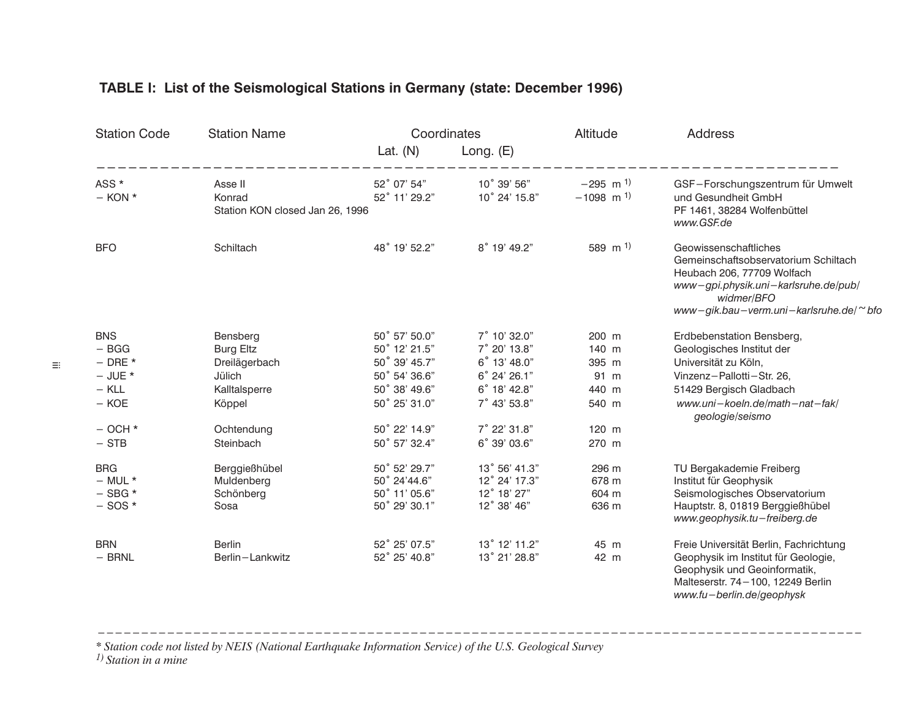| <b>Station Code</b>  | <b>Station Name</b>                                  | Coordinates<br>Lat. $(N)$    | Long. $(E)$                  | Altitude                                          | <b>Address</b>                                                                                                                                                                              |
|----------------------|------------------------------------------------------|------------------------------|------------------------------|---------------------------------------------------|---------------------------------------------------------------------------------------------------------------------------------------------------------------------------------------------|
| ASS *<br>$-$ KON $*$ | Asse II<br>Konrad<br>Station KON closed Jan 26, 1996 | 52° 07' 54"<br>52° 11' 29.2" | 10° 39' 56"<br>10° 24' 15.8" | $-295$ m <sup>1)</sup><br>$-1098$ m <sup>1)</sup> | GSF-Forschungszentrum für Umwelt<br>und Gesundheit GmbH<br>PF 1461, 38284 Wolfenbüttel<br>www.GSF.de                                                                                        |
| <b>BFO</b>           | Schiltach                                            | 48° 19' 52.2"                | 8° 19' 49.2"                 | 589 m <sup>1)</sup>                               | Geowissenschaftliches<br>Gemeinschaftsobservatorium Schiltach<br>Heubach 206, 77709 Wolfach<br>www-gpi.physik.uni-karlsruhe.de/pub/<br>widmer/BFO<br>www-gik.bau-verm.uni-karlsruhe.de/~bfo |
| <b>BNS</b>           | Bensberg                                             | 50° 57' 50.0"                | 7° 10' 32.0"                 | 200 m                                             | Erdbebenstation Bensberg,                                                                                                                                                                   |
| $-$ BGG              | <b>Burg Eltz</b>                                     | 50° 12' 21.5"                | 7° 20' 13.8"                 | 140 m                                             | Geologisches Institut der                                                                                                                                                                   |
| $-$ DRE $*$          | Dreilägerbach                                        | 50° 39' 45.7"                | 6° 13' 48.0"                 | 395 m                                             | Universität zu Köln,                                                                                                                                                                        |
| $-$ JUE $*$          | Jülich                                               | 50° 54' 36.6"                | 6° 24' 26.1"                 | 91 m                                              | Vinzenz-Pallotti-Str. 26,                                                                                                                                                                   |
| $-$ KLL              | Kalltalsperre                                        | 50° 38' 49.6"                | 6° 18' 42.8"                 | 440 m                                             | 51429 Bergisch Gladbach                                                                                                                                                                     |
| $-$ KOE              | Köppel                                               | 50° 25' 31.0"                | 7° 43' 53.8"                 | 540 m                                             | www.uni-koeln.de/math-nat-fak/<br>geologie/seismo                                                                                                                                           |
| $-$ OCH $*$          | Ochtendung                                           | 50° 22' 14.9"                | 7° 22' 31.8"                 | $120$ m                                           |                                                                                                                                                                                             |
| $-$ STB              | Steinbach                                            | 50° 57' 32.4"                | 6° 39' 03.6"                 | 270 m                                             |                                                                                                                                                                                             |
| <b>BRG</b>           | Berggießhübel                                        | 50° 52' 29.7"                | 13° 56' 41.3"                | 296 m                                             | TU Bergakademie Freiberg                                                                                                                                                                    |
| $-$ MUL $*$          | Muldenberg                                           | 50° 24'44.6"                 | 12° 24' 17.3"                | 678 m                                             | Institut für Geophysik                                                                                                                                                                      |
| $-$ SBG $*$          | Schönberg                                            | 50° 11' 05.6"                | 12° 18' 27"                  | 604 m                                             | Seismologisches Observatorium                                                                                                                                                               |
| $-$ SOS $*$          | Sosa                                                 | 50° 29' 30.1"                | 12° 38' 46"                  | 636 m                                             | Hauptstr. 8, 01819 Berggießhübel<br>www.geophysik.tu-freiberg.de                                                                                                                            |
| <b>BRN</b>           | <b>Berlin</b>                                        | 52° 25' 07.5"                | 13° 12' 11.2"                | 45 m                                              | Freie Universität Berlin, Fachrichtung                                                                                                                                                      |
| $-$ BRNL             | Berlin-Lankwitz                                      | 52° 25' 40.8"                | 13° 21' 28.8"                | 42 m                                              | Geophysik im Institut für Geologie,<br>Geophysik und Geoinformatik,<br>Malteserstr. 74-100, 12249 Berlin<br>www.fu-berlin.de/geophysk                                                       |

# TABLE I: List of the Seismological Stations in Germany (state: December 1996)

\* Station code not listed by NEIS (National Earthquake Information Service) of the U.S. Geological Survey<br>1) Station in a mine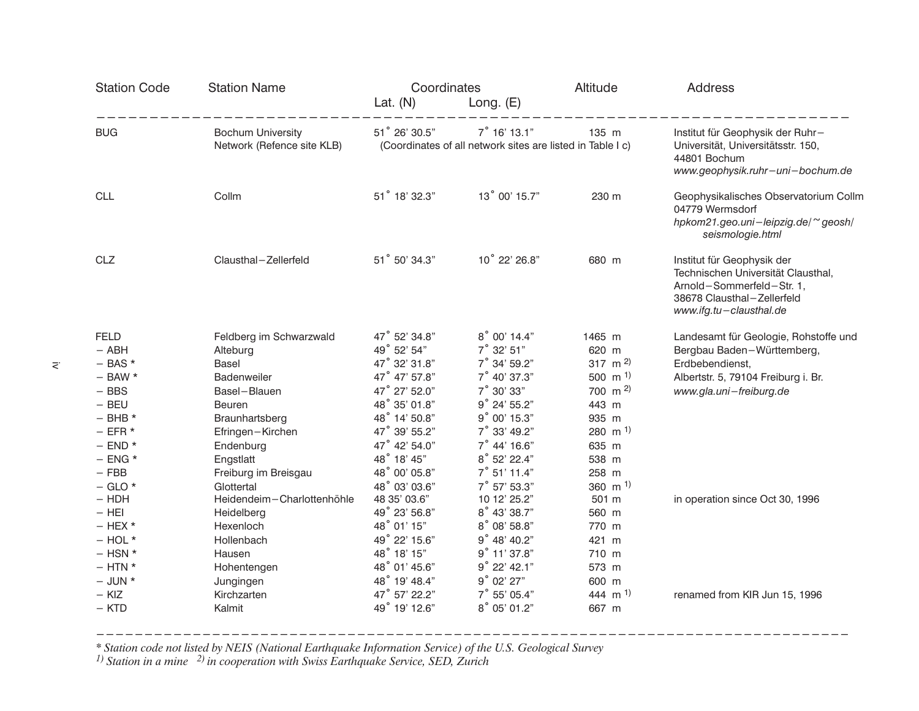| <b>Station Code</b>                                                                                                                                                                                                                                | <b>Station Name</b>                                                                                                                                                                                                                                                                         | Coordinates                                                                                                                                                                                                                                                                                           |                                                                                                                                                                                                                                                                                                   | Altitude                                                                                                                                                                                                                | Address                                                                                                                                                                                     |  |
|----------------------------------------------------------------------------------------------------------------------------------------------------------------------------------------------------------------------------------------------------|---------------------------------------------------------------------------------------------------------------------------------------------------------------------------------------------------------------------------------------------------------------------------------------------|-------------------------------------------------------------------------------------------------------------------------------------------------------------------------------------------------------------------------------------------------------------------------------------------------------|---------------------------------------------------------------------------------------------------------------------------------------------------------------------------------------------------------------------------------------------------------------------------------------------------|-------------------------------------------------------------------------------------------------------------------------------------------------------------------------------------------------------------------------|---------------------------------------------------------------------------------------------------------------------------------------------------------------------------------------------|--|
|                                                                                                                                                                                                                                                    |                                                                                                                                                                                                                                                                                             | Lat. $(N)$                                                                                                                                                                                                                                                                                            | Long. $(E)$                                                                                                                                                                                                                                                                                       |                                                                                                                                                                                                                         |                                                                                                                                                                                             |  |
| <b>BUG</b>                                                                                                                                                                                                                                         | <b>Bochum University</b><br>Network (Refence site KLB)                                                                                                                                                                                                                                      | 51° 26' 30.5"<br>$7^\circ$ 16' 13.1"<br>(Coordinates of all network sites are listed in Table I c)                                                                                                                                                                                                    |                                                                                                                                                                                                                                                                                                   | 135 m                                                                                                                                                                                                                   | Institut für Geophysik der Ruhr-<br>Universität, Universitätsstr. 150,<br>44801 Bochum<br>www.geophysik.ruhr-uni-bochum.de                                                                  |  |
| <b>CLL</b>                                                                                                                                                                                                                                         | Collm                                                                                                                                                                                                                                                                                       | 51° 18' 32.3"                                                                                                                                                                                                                                                                                         | 13° 00' 15.7"                                                                                                                                                                                                                                                                                     | 230 m                                                                                                                                                                                                                   | Geophysikalisches Observatorium Collm<br>04779 Wermsdorf<br>hpkom21.geo.uni-leipzig.de/~geosh/<br>seismologie.html                                                                          |  |
| CLZ                                                                                                                                                                                                                                                | Clausthal-Zellerfeld                                                                                                                                                                                                                                                                        | 51° 50' 34.3"                                                                                                                                                                                                                                                                                         | 10° 22' 26.8"                                                                                                                                                                                                                                                                                     | 680 m                                                                                                                                                                                                                   | Institut für Geophysik der<br>Technischen Universität Clausthal,<br>Arnold-Sommerfeld-Str. 1,<br>38678 Clausthal-Zellerfeld<br>www.ifg.tu-clausthal.de                                      |  |
| <b>FELD</b><br>$-$ ABH<br>$-$ BAS $*$<br>$-$ BAW $*$<br>$-$ BBS<br>$-$ BEU<br>$-$ BHB $*$<br>$-$ EFR $*$<br>$-$ END $*$<br>$-$ ENG $*$<br>$-$ FBB<br>$-$ GLO $*$<br>$-$ HDH<br>$-$ HEI<br>$-$ HEX $*$<br>$-$ HOL $*$<br>$-$ HSN $*$<br>$-$ HTN $*$ | Feldberg im Schwarzwald<br>Alteburg<br>Basel<br>Badenweiler<br>Basel-Blauen<br>Beuren<br>Braunhartsberg<br>Efringen-Kirchen<br>Endenburg<br>Engstlatt<br>Freiburg im Breisgau<br>Glottertal<br>Heidendeim-Charlottenhöhle<br>Heidelberg<br>Hexenloch<br>Hollenbach<br>Hausen<br>Hohentengen | 47° 52' 34.8"<br>49° 52' 54"<br>47° 32' 31.8"<br>47° 47' 57.8"<br>47° 27' 52.0"<br>48° 35' 01.8"<br>48° 14' 50.8"<br>47° 39' 55.2"<br>47° 42' 54.0"<br>48° 18' 45"<br>48° 00' 05.8"<br>48° 03' 03.6"<br>48 35' 03.6"<br>49° 23' 56.8"<br>48° 01' 15"<br>49° 22' 15.6"<br>48° 18' 15"<br>48° 01' 45.6" | 8° 00' 14.4"<br>7° 32' 51"<br>7° 34' 59.2"<br>7° 40' 37.3"<br>7° 30' 33"<br>9° 24' 55.2"<br>9° 00' 15.3"<br>7° 33' 49.2"<br>$7^\circ$ 44' 16.6"<br>8° 52' 22.4"<br>7° 51' 11.4"<br>7° 57' 53.3"<br>10 12' 25.2"<br>8° 43' 38.7"<br>8° 08' 58.8"<br>9° 48' 40.2"<br>9° 11' 37.8"<br>$9°$ 22' 42.1" | 1465 m<br>620 m<br>317 m $^{2}$<br>500 m $^{1}$<br>700 m $^{2}$ )<br>443 m<br>935 m<br>$280 \, \text{m}$ <sup>1)</sup><br>635 m<br>538 m<br>258 m<br>360 m $^{1}$<br>501 m<br>560 m<br>770 m<br>421 m<br>710 m<br>573 m | Landesamt für Geologie, Rohstoffe und<br>Bergbau Baden-Württemberg,<br>Erdbebendienst,<br>Albertstr. 5, 79104 Freiburg i. Br.<br>www.gla.uni-freiburg.de<br>in operation since Oct 30, 1996 |  |
| $-$ JUN $*$<br>$-$ KIZ<br>$-$ KTD                                                                                                                                                                                                                  | Jungingen<br>Kirchzarten<br>Kalmit                                                                                                                                                                                                                                                          | 48° 19' 48.4"<br>47° 57' 22.2"<br>49° 19' 12.6"                                                                                                                                                                                                                                                       | 9°02'27"<br>$7^\circ$ 55' 05.4"<br>8° 05' 01.2"                                                                                                                                                                                                                                                   | 600 m<br>444 m <sup>1</sup><br>667 m                                                                                                                                                                                    | renamed from KIR Jun 15, 1996                                                                                                                                                               |  |

\* Station code not listed by NEIS (National Earthquake Information Service) of the U.S. Geological Survey  $\frac{1}{1}$  Station in a mine  $\frac{2}{1}$  in cooperation with Swiss Earthquake Service, SED, Zurich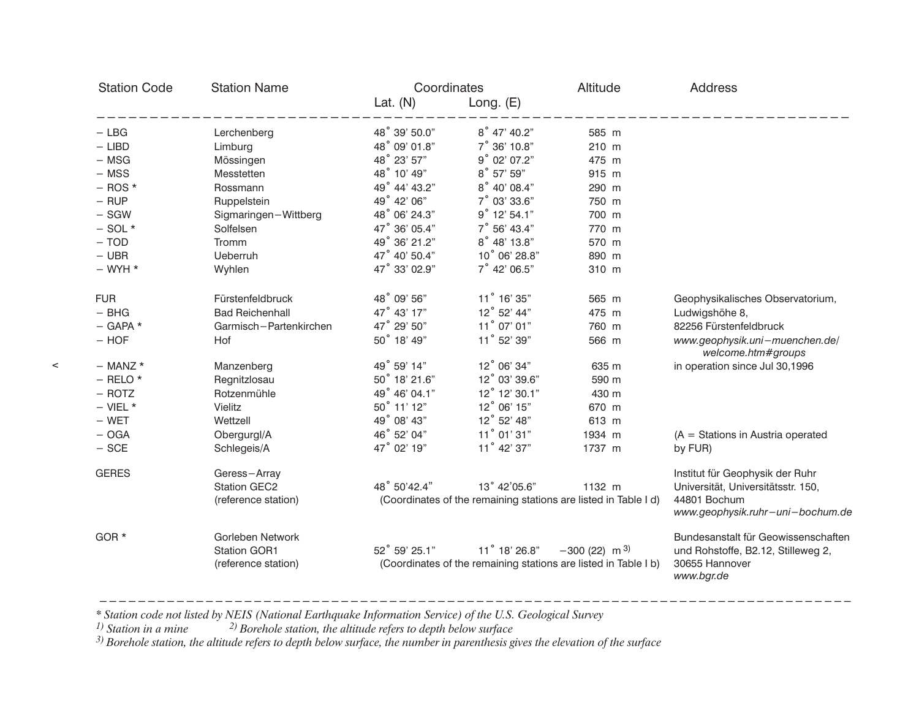| <b>Station Code</b> | <b>Station Name</b>                                            | Coordinates   |                                                                                  | Altitude                   | <b>Address</b>                                                                                            |  |
|---------------------|----------------------------------------------------------------|---------------|----------------------------------------------------------------------------------|----------------------------|-----------------------------------------------------------------------------------------------------------|--|
|                     |                                                                | Lat. $(N)$    | Long. $(E)$                                                                      |                            |                                                                                                           |  |
| $-$ LBG             | Lerchenberg                                                    | 48° 39' 50.0" | $8^\circ$ 47' 40.2"                                                              | 585 m                      |                                                                                                           |  |
| $-$ LIBD            | Limburg                                                        | 48° 09' 01.8" | 7° 36' 10.8"                                                                     | 210 m                      |                                                                                                           |  |
| $-$ MSG             | Mössingen                                                      | 48° 23' 57"   | 9° 02' 07.2"                                                                     | 475 m                      |                                                                                                           |  |
| $-$ MSS             | Messtetten                                                     | 48° 10' 49"   | 8° 57' 59"                                                                       | 915 m                      |                                                                                                           |  |
| $-$ ROS $*$         | Rossmann                                                       | 49° 44' 43.2" | 8° 40' 08.4"                                                                     | 290 m                      |                                                                                                           |  |
| $-$ RUP             | Ruppelstein                                                    | 49° 42' 06"   | $7^\circ$ 03' 33.6"                                                              | 750 m                      |                                                                                                           |  |
| $-$ SGW             | Sigmaringen-Wittberg                                           | 48° 06' 24.3" | $9^\circ$ 12' 54.1"                                                              | 700 m                      |                                                                                                           |  |
| $-$ SOL $*$         | Solfelsen                                                      | 47° 36' 05.4" | $7^\circ$ 56' 43.4"                                                              | 770 m                      |                                                                                                           |  |
| $-$ TOD             | Tromm                                                          | 49° 36' 21.2" | 8° 48' 13.8"                                                                     | 570 m                      |                                                                                                           |  |
| $-$ UBR             | <b>Ueberruh</b>                                                | 47° 40' 50.4" | 10° 06' 28.8"                                                                    | 890 m                      |                                                                                                           |  |
| $-$ WYH $*$         | Wyhlen                                                         | 47° 33' 02.9" | $7^\circ$ 42' 06.5"                                                              | 310 m                      |                                                                                                           |  |
| <b>FUR</b>          | Fürstenfeldbruck                                               | 48° 09' 56"   | 11° 16' 35"                                                                      | 565 m                      | Geophysikalisches Observatorium,                                                                          |  |
| $-$ BHG             | <b>Bad Reichenhall</b>                                         | 47° 43' 17"   | 12° 52' 44"                                                                      | 475 m                      | Ludwigshöhe 8,                                                                                            |  |
| $-$ GAPA $*$        | Garmisch-Partenkirchen                                         | 47° 29' 50"   | 11° 07' 01"                                                                      | 760 m                      | 82256 Fürstenfeldbruck                                                                                    |  |
| $-$ HOF             | Hof                                                            | 50° 18' 49"   | 11° 52' 39"                                                                      | 566 m                      | www.geophysik.uni-muenchen.de/<br>welcome.htm#groups                                                      |  |
| $-$ MANZ $*$        | Manzenberg                                                     | 49° 59' 14"   | 12° 06' 34"                                                                      | 635 m                      | in operation since Jul 30,1996                                                                            |  |
| $-$ RELO $*$        | Regnitzlosau                                                   | 50° 18' 21.6" | 12° 03' 39.6"                                                                    | 590 m                      |                                                                                                           |  |
| $-$ ROTZ            | Rotzenmühle                                                    | 49° 46' 04.1" | 12° 12' 30.1"                                                                    | 430 m                      |                                                                                                           |  |
| $-$ VIEL $*$        | Vielitz                                                        | 50° 11' 12"   | 12° 06' 15"                                                                      | 670 m                      |                                                                                                           |  |
| $-$ WET             | Wettzell                                                       | 49° 08' 43"   | 12° 52' 48"                                                                      | 613 m                      |                                                                                                           |  |
| $-$ OGA             | Obergurgl/A                                                    | 46° 52' 04"   | 11° 01' 31"                                                                      | 1934 m                     | $(A = Stations in Austria operated)$                                                                      |  |
| $-$ SCE             | Schlegeis/A                                                    | 47° 02' 19"   | 11° 42' 37"                                                                      | 1737 m                     | by FUR)                                                                                                   |  |
| <b>GERES</b>        | Geress-Array                                                   |               |                                                                                  |                            | Institut für Geophysik der Ruhr                                                                           |  |
|                     | <b>Station GEC2</b><br>(reference station)                     | 48° 50'42.4"  | 13° 42'05.6"<br>(Coordinates of the remaining stations are listed in Table I d)  | 1132 m                     | Universität, Universitätsstr. 150,<br>44801 Bochum<br>www.geophysik.ruhr-uni-bochum.de                    |  |
| GOR *               | Gorleben Network<br><b>Station GOR1</b><br>(reference station) | 52° 59' 25.1" | 11° 18' 26.8"<br>(Coordinates of the remaining stations are listed in Table I b) | $-300(22)$ m <sup>3)</sup> | Bundesanstalt für Geowissenschaften<br>und Rohstoffe, B2.12, Stilleweg 2,<br>30655 Hannover<br>www.bgr.de |  |

Station code not listed by NEIS (National Earthquake Information Service) of the U.S. Geological Survey \*\*

<sup>1)</sup> Station in a mine  $\qquad \qquad ^{2)}$  Borehole station, the altitude refers to depth below surface

 $^{3)}$  Borehole station, the altitude refers to depth below surface, the number in parenthesis gives the elevation of the surface

 $\,<$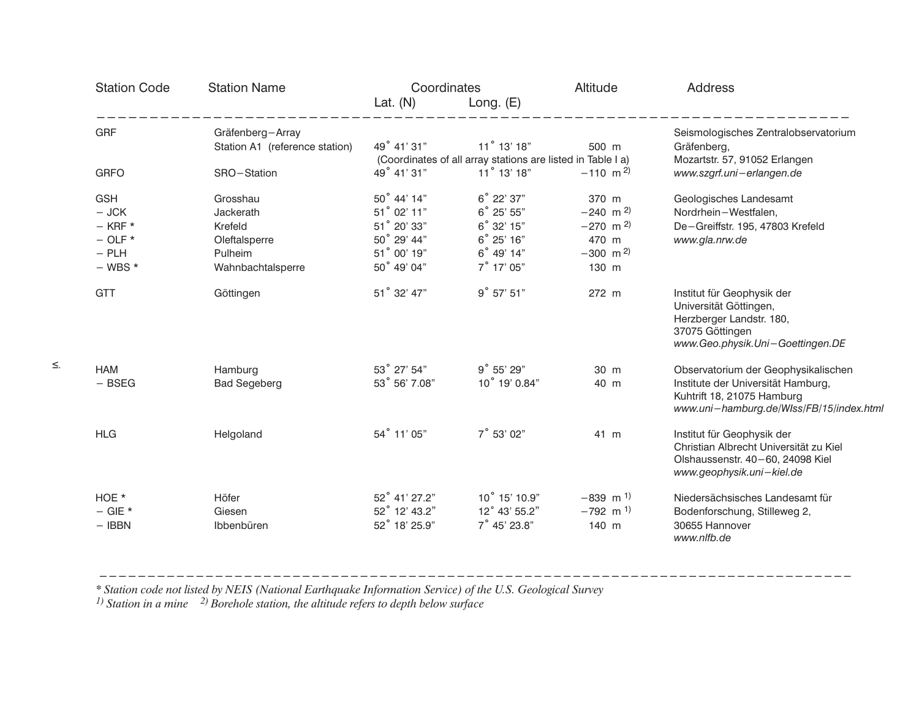| <b>Station Code</b>                                                           | <b>Station Name</b>                                                               | Coordinates                                                                            |                                                                                  | Altitude                                                                                              | <b>Address</b>                                                                                                                                      |  |
|-------------------------------------------------------------------------------|-----------------------------------------------------------------------------------|----------------------------------------------------------------------------------------|----------------------------------------------------------------------------------|-------------------------------------------------------------------------------------------------------|-----------------------------------------------------------------------------------------------------------------------------------------------------|--|
|                                                                               |                                                                                   | Lat. $(N)$                                                                             | Long. $(E)$                                                                      |                                                                                                       |                                                                                                                                                     |  |
| <b>GRF</b>                                                                    | Gräfenberg-Array<br>Station A1 (reference station)                                | 49° 41' 31"                                                                            | 11° 13' 18"<br>(Coordinates of all array stations are listed in Table I a)       | 500 m                                                                                                 | Seismologisches Zentralobservatorium<br>Gräfenberg,<br>Mozartstr. 57, 91052 Erlangen                                                                |  |
| <b>GRFO</b>                                                                   | SRO-Station                                                                       | 49° 41' 31"                                                                            | 11° 13' 18"                                                                      | $-110$ m <sup>2)</sup>                                                                                | www.szgrf.uni-erlangen.de                                                                                                                           |  |
| <b>GSH</b><br>$-$ JCK<br>$-$ KRF $*$<br>$-$ OLF $*$<br>$-$ PLH<br>$-$ WBS $*$ | Grosshau<br>Jackerath<br>Krefeld<br>Oleftalsperre<br>Pulheim<br>Wahnbachtalsperre | 50° 44' 14"<br>51° 02' 11"<br>51° 20' 33"<br>50° 29' 44"<br>51° 00' 19"<br>50° 49' 04" | 6° 22' 37"<br>6° 25' 55"<br>6° 32' 15"<br>6° 25' 16"<br>6° 49' 14"<br>7° 17' 05" | 370 m<br>$-240$ m <sup>2)</sup><br>$-270$ m <sup>2)</sup><br>470 m<br>$-300$ m <sup>2)</sup><br>130 m | Geologisches Landesamt<br>Nordrhein-Westfalen,<br>De-Greiffstr. 195, 47803 Krefeld<br>www.gla.nrw.de                                                |  |
| <b>GTT</b>                                                                    | Göttingen                                                                         | 51° 32' 47"                                                                            | 9° 57' 51"                                                                       | 272 m                                                                                                 | Institut für Geophysik der<br>Universität Göttingen,<br>Herzberger Landstr. 180,<br>37075 Göttingen<br>www.Geo.physik.Uni-Goettingen.DE             |  |
| <b>HAM</b><br>$-$ BSEG                                                        | Hamburg<br><b>Bad Segeberg</b>                                                    | 53° 27' 54"<br>53° 56' 7.08"                                                           | 9° 55' 29"<br>10° 19' 0.84"                                                      | 30 m<br>40 m                                                                                          | Observatorium der Geophysikalischen<br>Institute der Universität Hamburg,<br>Kuhtrift 18, 21075 Hamburg<br>www.uni-hamburg.de/WIss/FB/15/index.html |  |
| <b>HLG</b>                                                                    | Helgoland                                                                         | 54° 11' 05"                                                                            | 7° 53' 02"                                                                       | 41 m                                                                                                  | Institut für Geophysik der<br>Christian Albrecht Universität zu Kiel<br>Olshaussenstr. 40-60, 24098 Kiel<br>www.geophysik.uni-kiel.de               |  |
| HOE *<br>$-$ GIE $*$<br>$-$ IBBN                                              | Höfer<br>Giesen<br>Ibbenbüren                                                     | 52° 41' 27.2"<br>52° 12' 43.2"<br>52° 18' 25.9"                                        | $10^{\circ}$ 15' 10.9"<br>12° 43' 55.2"<br>7° 45' 23.8"                          | $-839$ m <sup>1)</sup><br>$-792$ m <sup>1)</sup><br>140 m                                             | Niedersächsisches Landesamt für<br>Bodenforschung, Stilleweg 2,<br>30655 Hannover<br>www.nlfb.de                                                    |  |

\* Station code not listed by NEIS (National Earthquake Information Service) of the U.S. Geological Survey  $\frac{1}{1}$  Station in a mine  $\frac{2}{1}$  Borehole station, the altitude refers to depth below surface

 $\leq$ 

 $\frac{1}{2}$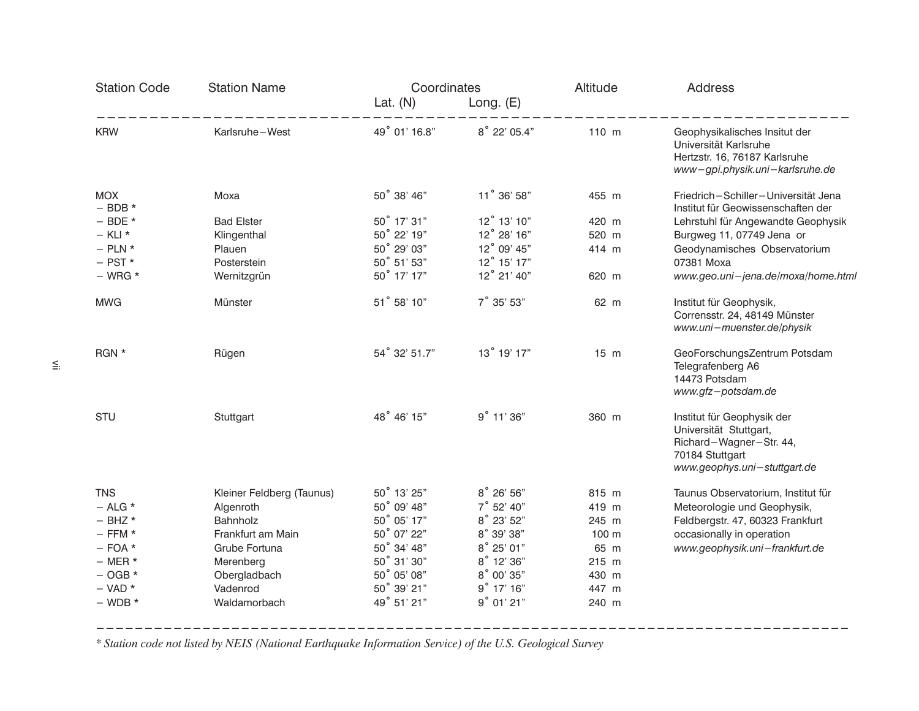| <b>Station Code</b>       | <b>Station Name</b>       | Coordinates   |              | Altitude       | <b>Address</b>                                                                                                                     |  |
|---------------------------|---------------------------|---------------|--------------|----------------|------------------------------------------------------------------------------------------------------------------------------------|--|
|                           |                           | Lat. $(N)$    | Long. $(E)$  |                |                                                                                                                                    |  |
| <b>KRW</b>                | Karlsruhe-West            | 49° 01' 16.8" | 8° 22' 05.4" | 110 m          | Geophysikalisches Insitut der<br>Universität Karlsruhe<br>Hertzstr. 16, 76187 Karlsruhe<br>www-gpi.physik.uni-karlsruhe.de         |  |
| <b>MOX</b><br>$-$ BDB $*$ | Moxa                      | 50° 38' 46"   | 11° 36' 58"  | 455 m          | Friedrich-Schiller-Universität Jena<br>Institut für Geowissenschaften der                                                          |  |
| $-$ BDE $*$               | <b>Bad Elster</b>         | 50° 17' 31"   | 12° 13' 10"  | 420 m          | Lehrstuhl für Angewandte Geophysik                                                                                                 |  |
| $-$ KLI $*$               | Klingenthal               | 50° 22' 19"   | 12° 28' 16"  | 520 m          | Burgweg 11, 07749 Jena or                                                                                                          |  |
| $-$ PLN $*$               | Plauen                    | 50° 29' 03"   | 12° 09' 45"  | 414 m          | Geodynamisches Observatorium                                                                                                       |  |
| $-$ PST $*$               | Posterstein               | 50° 51' 53"   | 12° 15' 17"  |                | 07381 Moxa                                                                                                                         |  |
| $-$ WRG $*$               | Wernitzgrün               | 50° 17' 17"   | 12° 21' 40"  | 620 m          | www.geo.uni-jena.de/moxa/home.html                                                                                                 |  |
| <b>MWG</b>                | Münster                   | 51° 58' 10"   | 7° 35' 53"   | 62 m           | Institut für Geophysik,<br>Corrensstr. 24, 48149 Münster<br>www.uni-muenster.de/physik                                             |  |
| RGN *                     | Rügen                     | 54° 32' 51.7" | 13° 19' 17"  | $15 \text{ m}$ | GeoForschungsZentrum Potsdam<br>Telegrafenberg A6<br>14473 Potsdam<br>www.gfz-potsdam.de                                           |  |
| <b>STU</b>                | Stuttgart                 | 48° 46' 15"   | 9° 11' 36"   | 360 m          | Institut für Geophysik der<br>Universität Stuttgart,<br>Richard-Wagner-Str. 44,<br>70184 Stuttgart<br>www.geophys.uni-stuttgart.de |  |
| <b>TNS</b>                | Kleiner Feldberg (Taunus) | 50° 13' 25"   | 8° 26' 56"   | 815 m          | Taunus Observatorium, Institut für                                                                                                 |  |
| $-$ ALG $*$               | Algenroth                 | 50° 09' 48"   | 7° 52' 40"   | 419 m          | Meteorologie und Geophysik,                                                                                                        |  |
| $-$ BHZ $*$               | Bahnholz                  | 50° 05' 17"   | 8° 23' 52"   | 245 m          | Feldbergstr. 47, 60323 Frankfurt                                                                                                   |  |
| $-$ FFM $*$               | Frankfurt am Main         | 50° 07' 22"   | 8° 39' 38"   | 100 m          | occasionally in operation                                                                                                          |  |
| $-$ FOA $*$               | Grube Fortuna             | 50° 34' 48"   | 8° 25' 01"   | 65 m           | www.geophysik.uni-frankfurt.de                                                                                                     |  |
| $-$ MER $*$               | Merenberg                 | 50° 31' 30"   | 8° 12' 36"   | 215 m          |                                                                                                                                    |  |
| $-$ OGB $*$               | Obergladbach              | 50° 05' 08"   | 8° 00' 35"   | 430 m          |                                                                                                                                    |  |
| $-$ VAD $*$               | Vadenrod                  | 50° 39' 21"   | $9°$ 17' 16" | 447 m          |                                                                                                                                    |  |
| $-$ WDB $*$               | Waldamorbach              | 49° 51' 21"   | 9°01'21"     | 240 m          |                                                                                                                                    |  |
|                           |                           |               |              |                |                                                                                                                                    |  |

\* Station code not listed by NEIS (National Earthquake Information Service) of the U.S. Geological Survey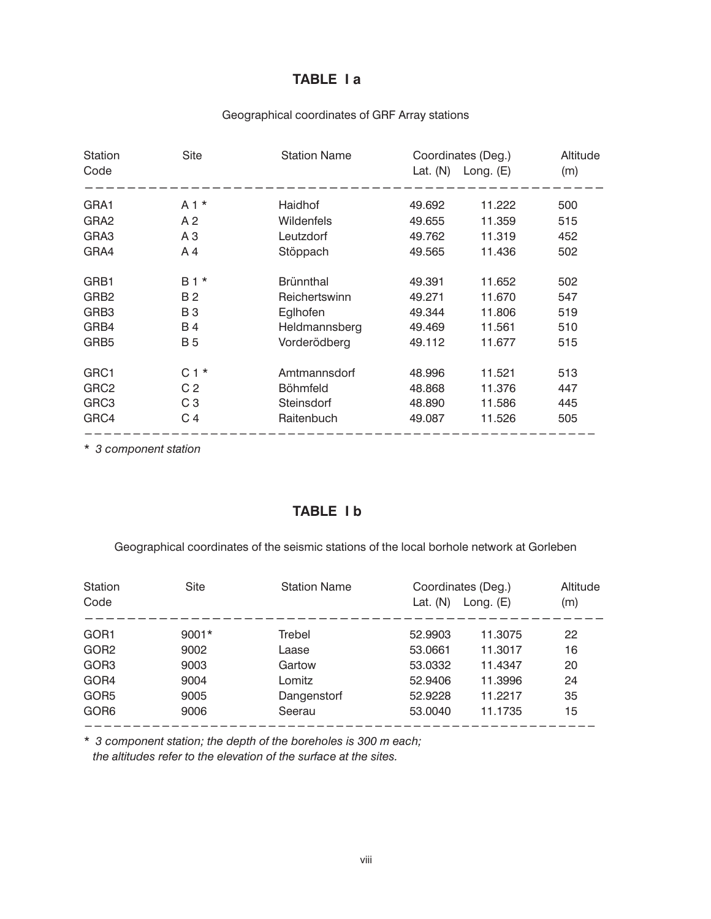# TABLE I a

| Geographical coordinates of GRF Array stations |  |
|------------------------------------------------|--|
|------------------------------------------------|--|

| Station<br>Code  | Site           | <b>Station Name</b> | Coordinates (Deg.)<br>Lat. $(N)$ | Long. $(E)$ | Altitude<br>(m) |
|------------------|----------------|---------------------|----------------------------------|-------------|-----------------|
| GRA1             | $A1*$          | Haidhof             | 49.692                           | 11.222      | 500             |
| GRA <sub>2</sub> | A <sub>2</sub> | <b>Wildenfels</b>   | 49.655                           | 11.359      | 515             |
| GRA3             | A <sub>3</sub> | Leutzdorf           | 49.762                           | 11.319      | 452             |
| GRA4             | A 4            | Stöppach            | 49.565                           | 11.436      | 502             |
| GRB1             | $B1*$          | <b>Brünnthal</b>    | 49.391                           | 11.652      | 502             |
| GRB <sub>2</sub> | <b>B2</b>      | Reichertswinn       | 49.271                           | 11.670      | 547             |
| GRB3             | <b>B3</b>      | Eglhofen            | 49.344                           | 11.806      | 519             |
| GRB4             | B 4            | Heldmannsberg       | 49.469                           | 11.561      | 510             |
| GRB <sub>5</sub> | <b>B</b> 5     | Vorderödberg        | 49.112                           | 11.677      | 515             |
| GRC1             | $C1*$          | Amtmannsdorf        | 48.996                           | 11.521      | 513             |
| GRC <sub>2</sub> | C <sub>2</sub> | <b>Böhmfeld</b>     | 48.868                           | 11.376      | 447             |
| GRC3             | C <sub>3</sub> | Steinsdorf          | 48.890                           | 11.586      | 445             |
| GRC4             | C 4            | Raitenbuch          | 49.087                           | 11.526      | 505             |

\* 3 component station

## TABLE I b

Geographical coordinates of the seismic stations of the local borhole network at Gorleben

| Station<br>Code  | Site    | <b>Station Name</b> | Coordinates (Deg.)<br>Lat. $(N)$ | Long. $(E)$ | Altitude<br>(m) |
|------------------|---------|---------------------|----------------------------------|-------------|-----------------|
| GOR <sub>1</sub> | $9001*$ | Trebel              | 52.9903                          | 11.3075     | 22              |
| GOR <sub>2</sub> | 9002    | Laase               | 53.0661                          | 11.3017     | 16              |
| GOR <sub>3</sub> | 9003    | Gartow              | 53.0332                          | 11.4347     | 20              |
| GOR4             | 9004    | Lomitz              | 52.9406                          | 11.3996     | 24              |
| GOR <sub>5</sub> | 9005    | Dangenstorf         | 52.9228                          | 11.2217     | 35              |
| GOR <sub>6</sub> | 9006    | Seerau              | 53,0040                          | 11.1735     | 15              |

\* 3 component station; the depth of the boreholes is 300 m each; the altitudes refer to the elevation of the surface at the sites.